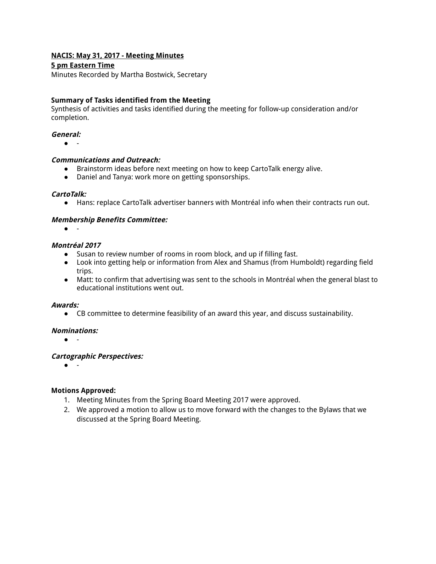# **NACIS: May 31, 2017 - Meeting Minutes**

### **5 pm Eastern Time**

Minutes Recorded by Martha Bostwick, Secretary

### **Summary of Tasks identified from the Meeting**

Synthesis of activities and tasks identified during the meeting for follow-up consideration and/or completion.

#### **General:**

 $\bullet$ 

#### **Communications and Outreach:**

- Brainstorm ideas before next meeting on how to keep CartoTalk energy alive.
- Daniel and Tanya: work more on getting sponsorships.

#### **CartoTalk:**

● Hans: replace CartoTalk advertiser banners with Montréal info when their contracts run out.

### **Membership Benefits Committee:**

 $\bullet$ 

#### **Montréal 2017**

- Susan to review number of rooms in room block, and up if filling fast.
- Look into getting help or information from Alex and Shamus (from Humboldt) regarding field trips.
- Matt: to confirm that advertising was sent to the schools in Montréal when the general blast to educational institutions went out.

#### **Awards:**

● CB committee to determine feasibility of an award this year, and discuss sustainability.

#### **Nominations:**

● -

### **Cartographic Perspectives:**

● -

#### **Motions Approved:**

- 1. Meeting Minutes from the Spring Board Meeting 2017 were approved.
- 2. We approved a motion to allow us to move forward with the changes to the Bylaws that we discussed at the Spring Board Meeting.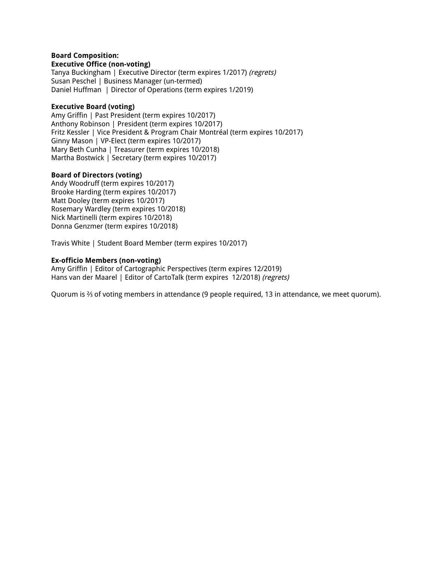#### **Board Composition: Executive Office (non-voting)**

Tanya Buckingham | Executive Director (term expires 1/2017) (regrets) Susan Peschel | Business Manager (un-termed) Daniel Huffman | Director of Operations (term expires 1/2019)

## **Executive Board (voting)**

Amy Griffin | Past President (term expires 10/2017) Anthony Robinson | President (term expires 10/2017) Fritz Kessler | Vice President & Program Chair Montréal (term expires 10/2017) Ginny Mason | VP-Elect (term expires 10/2017) Mary Beth Cunha | Treasurer (term expires 10/2018) Martha Bostwick | Secretary (term expires 10/2017)

## **Board of Directors (voting)**

Andy Woodruff (term expires 10/2017) Brooke Harding (term expires 10/2017) Matt Dooley (term expires 10/2017) Rosemary Wardley (term expires 10/2018) Nick Martinelli (term expires 10/2018) Donna Genzmer (term expires 10/2018)

Travis White | Student Board Member (term expires 10/2017)

## **Ex-officio Members (non-voting)**

Amy Griffin | Editor of Cartographic Perspectives (term expires 12/2019) Hans van der Maarel | Editor of CartoTalk (term expires 12/2018) (regrets)

Quorum is <sup>2</sup>/<sub>3</sub> of voting members in attendance (9 people required, 13 in attendance, we meet quorum).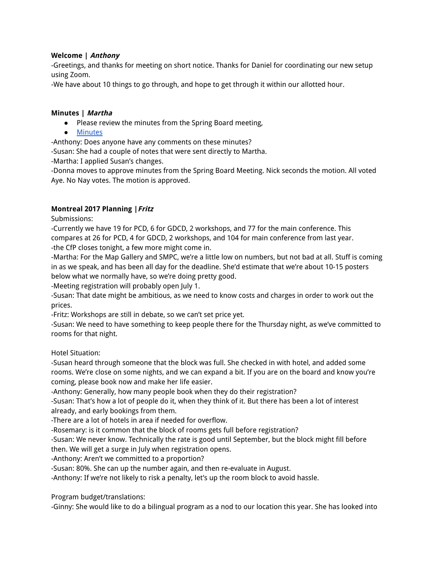# **Welcome | Anthony**

-Greetings, and thanks for meeting on short notice. Thanks for Daniel for coordinating our new setup using Zoom.

-We have about 10 things to go through, and hope to get through it within our allotted hour.

## **Minutes | Martha**

- Please review the minutes from the Spring Board meeting,
- Minutes

-Anthony: Does anyone have any comments on these minutes?

-Susan: She had a couple of notes that were sent directly to Martha.

-Martha: I applied Susan's changes.

-Donna moves to approve minutes from the Spring Board Meeting. Nick seconds the motion. All voted Aye. No Nay votes. The motion is approved.

## **Montreal 2017 Planning |Fritz**

Submissions:

-Currently we have 19 for PCD, 6 for GDCD, 2 workshops, and 77 for the main conference. This compares at 26 for PCD, 4 for GDCD, 2 workshops, and 104 for main conference from last year. -the CfP closes tonight, a few more might come in.

-Martha: For the Map Gallery and SMPC, we're a little low on numbers, but not bad at all. Stuff is coming in as we speak, and has been all day for the deadline. She'd estimate that we're about 10-15 posters below what we normally have, so we're doing pretty good.

-Meeting registration will probably open July 1.

-Susan: That date might be ambitious, as we need to know costs and charges in order to work out the prices.

-Fritz: Workshops are still in debate, so we can't set price yet.

-Susan: We need to have something to keep people there for the Thursday night, as we've committed to rooms for that night.

### Hotel Situation:

-Susan heard through someone that the block was full. She checked in with hotel, and added some rooms. We're close on some nights, and we can expand a bit. If you are on the board and know you're coming, please book now and make her life easier.

-Anthony: Generally, how many people book when they do their registration?

-Susan: That's how a lot of people do it, when they think of it. But there has been a lot of interest already, and early bookings from them.

-There are a lot of hotels in area if needed for overflow.

-Rosemary: is it common that the block of rooms gets full before registration?

-Susan: We never know. Technically the rate is good until September, but the block might fill before then. We will get a surge in July when registration opens.

-Anthony: Aren't we committed to a proportion?

-Susan: 80%. She can up the number again, and then re-evaluate in August.

-Anthony: If we're not likely to risk a penalty, let's up the room block to avoid hassle.

Program budget/translations:

-Ginny: She would like to do a bilingual program as a nod to our location this year. She has looked into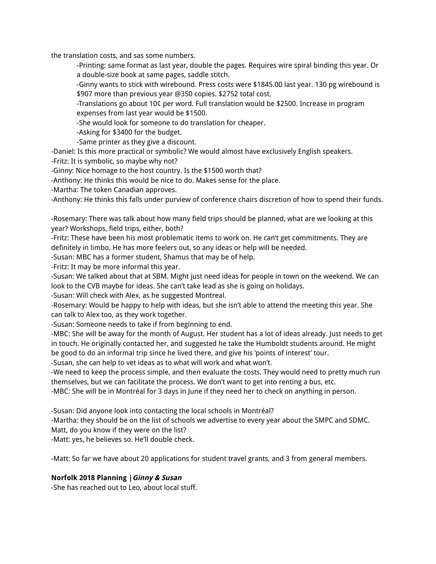the translation costs, and sas some numbers.

-Printing: same format as last year, double the pages. Requires wire spiral binding this year. Or a double-size book at same pages, saddle stitch.

-Ginny wants to stick with wirebound. Press costs were \$1845.00 last year. 130 pg wirebound is \$907 more than previous year @350 copies. \$2752 total cost.

-Translations go about 10¢ per word. Full translation would be \$2500. Increase in program expenses from last year would be \$1500.

-She would look for someone to do translation for cheaper.

-Asking for \$3400 for the budget.

-Same printer as they give a discount.

-Daniel: Is this more practical or symbolic? We would almost have exclusively English speakers. -Fritz: It is symbolic, so maybe why not?

-Ginny: Nice homage to the host country. Is the \$1500 worth that?

-Anthony: He thinks this would be nice to do. Makes sense for the place.

-Martha: The token Canadian approves.

-Anthony: He thinks this falls under purview of conference chairs discretion of how to spend their funds.

-Rosemary: There was talk about how many field trips should be planned, what are we looking at this year? Workshops, field trips, either, both?

-Fritz: These have been his most problematic items to work on. He can't get commitments. They are definitely in limbo. He has more feelers out, so any ideas or help will be needed.

-Susan: MBC has a former student, Shamus that may be of help.

-Fritz: It may be more informal this year.

-Susan: We talked about that at SBM. Might just need ideas for people in town on the weekend. We can look to the CVB maybe for ideas. She can't take lead as she is going on holidays.

-Susan: Will check with Alex, as he suggested Montreal.

-Rosemary: Would be happy to help with ideas, but she isn't able to attend the meeting this year. She can talk to Alex too, as they work together.

-Susan: Someone needs to take if from beginning to end.

-MBC: She will be away for the month of August. Her student has a lot of ideas already. Just needs to get in touch. He originally contacted her, and suggested he take the Humboldt students around. He might be good to do an informal trip since he lived there, and give his 'points of interest' tour.

-Susan, she can help to vet ideas as to what will work and what won't.

-We need to keep the process simple, and then evaluate the costs. They would need to pretty much run themselves, but we can facilitate the process. We don't want to get into renting a bus, etc.

-MBC: She will be in Montréal for 3 days in June if they need her to check on anything in person.

-Susan: Did anyone look into contacting the local schools in Montréal?

-Martha: they should be on the list of schools we advertise to every year about the SMPC and SDMC.

Matt, do you know if they were on the list?

-Matt: yes, he believes so. He'll double check.

-Matt: So far we have about 20 applications for student travel grants, and 3 from general members.

### **Norfolk 2018 Planning |Ginny & Susan**

-She has reached out to Leo, about local stuff.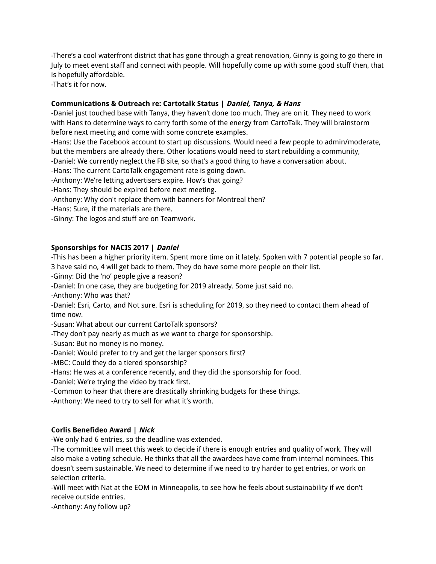-There's a cool waterfront district that has gone through a great renovation, Ginny is going to go there in July to meet event staff and connect with people. Will hopefully come up with some good stuff then, that is hopefully affordable.

-That's it for now.

# **Communications & Outreach re: Cartotalk Status | Daniel, Tanya, & Hans**

-Daniel just touched base with Tanya, they haven't done too much. They are on it. They need to work with Hans to determine ways to carry forth some of the energy from CartoTalk. They will brainstorm before next meeting and come with some concrete examples.

-Hans: Use the Facebook account to start up discussions. Would need a few people to admin/moderate, but the members are already there. Other locations would need to start rebuilding a community,

-Daniel: We currently neglect the FB site, so that's a good thing to have a conversation about.

-Hans: The current CartoTalk engagement rate is going down.

-Anthony: We're letting advertisers expire. How's that going?

-Hans: They should be expired before next meeting.

- -Anthony: Why don't replace them with banners for Montreal then?
- -Hans: Sure, if the materials are there.
- -Ginny: The logos and stuff are on Teamwork.

# **Sponsorships for NACIS 2017 | Daniel**

-This has been a higher priority item. Spent more time on it lately. Spoken with 7 potential people so far. 3 have said no, 4 will get back to them. They do have some more people on their list.

-Ginny: Did the 'no' people give a reason?

-Daniel: In one case, they are budgeting for 2019 already. Some just said no.

-Anthony: Who was that?

-Daniel: Esri, Carto, and Not sure. Esri is scheduling for 2019, so they need to contact them ahead of time now.

- -Susan: What about our current CartoTalk sponsors?
- -They don't pay nearly as much as we want to charge for sponsorship.

-Susan: But no money is no money.

- -Daniel: Would prefer to try and get the larger sponsors first?
- -MBC: Could they do a tiered sponsorship?

-Hans: He was at a conference recently, and they did the sponsorship for food.

- -Daniel: We're trying the video by track first.
- -Common to hear that there are drastically shrinking budgets for these things.

-Anthony: We need to try to sell for what it's worth.

# **Corlis Benefideo Award | Nick**

-We only had 6 entries, so the deadline was extended.

-The committee will meet this week to decide if there is enough entries and quality of work. They will also make a voting schedule. He thinks that all the awardees have come from internal nominees. This doesn't seem sustainable. We need to determine if we need to try harder to get entries, or work on selection criteria.

-Will meet with Nat at the EOM in Minneapolis, to see how he feels about sustainability if we don't receive outside entries.

-Anthony: Any follow up?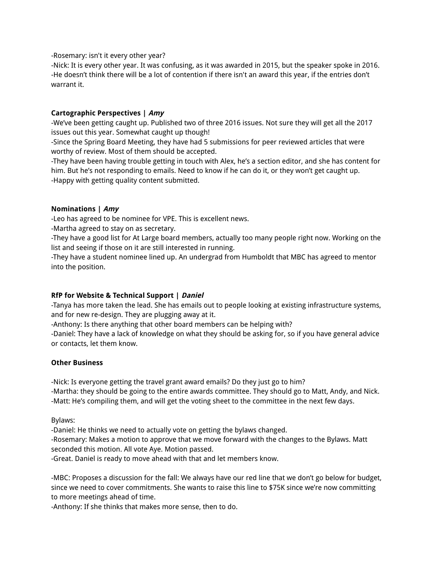-Rosemary: isn't it every other year?

-Nick: It is every other year. It was confusing, as it was awarded in 2015, but the speaker spoke in 2016. -He doesn't think there will be a lot of contention if there isn't an award this year, if the entries don't warrant it.

## **Cartographic Perspectives | Amy**

-We've been getting caught up. Published two of three 2016 issues. Not sure they will get all the 2017 issues out this year. Somewhat caught up though!

-Since the Spring Board Meeting, they have had 5 submissions for peer reviewed articles that were worthy of review. Most of them should be accepted.

-They have been having trouble getting in touch with Alex, he's a section editor, and she has content for him. But he's not responding to emails. Need to know if he can do it, or they won't get caught up. -Happy with getting quality content submitted.

### **Nominations | Amy**

-Leo has agreed to be nominee for VPE. This is excellent news.

-Martha agreed to stay on as secretary.

-They have a good list for At Large board members, actually too many people right now. Working on the list and seeing if those on it are still interested in running.

-They have a student nominee lined up. An undergrad from Humboldt that MBC has agreed to mentor into the position.

# **RfP for Website & Technical Support | Daniel**

-Tanya has more taken the lead. She has emails out to people looking at existing infrastructure systems, and for new re-design. They are plugging away at it.

-Anthony: Is there anything that other board members can be helping with?

-Daniel: They have a lack of knowledge on what they should be asking for, so if you have general advice or contacts, let them know.

# **Other Business**

-Nick: Is everyone getting the travel grant award emails? Do they just go to him? -Martha: they should be going to the entire awards committee. They should go to Matt, Andy, and Nick.

-Matt: He's compiling them, and will get the voting sheet to the committee in the next few days.

Bylaws:

-Daniel: He thinks we need to actually vote on getting the bylaws changed.

-Rosemary: Makes a motion to approve that we move forward with the changes to the Bylaws. Matt seconded this motion. All vote Aye. Motion passed.

-Great. Daniel is ready to move ahead with that and let members know.

-MBC: Proposes a discussion for the fall: We always have our red line that we don't go below for budget, since we need to cover commitments. She wants to raise this line to \$75K since we're now committing to more meetings ahead of time.

-Anthony: If she thinks that makes more sense, then to do.